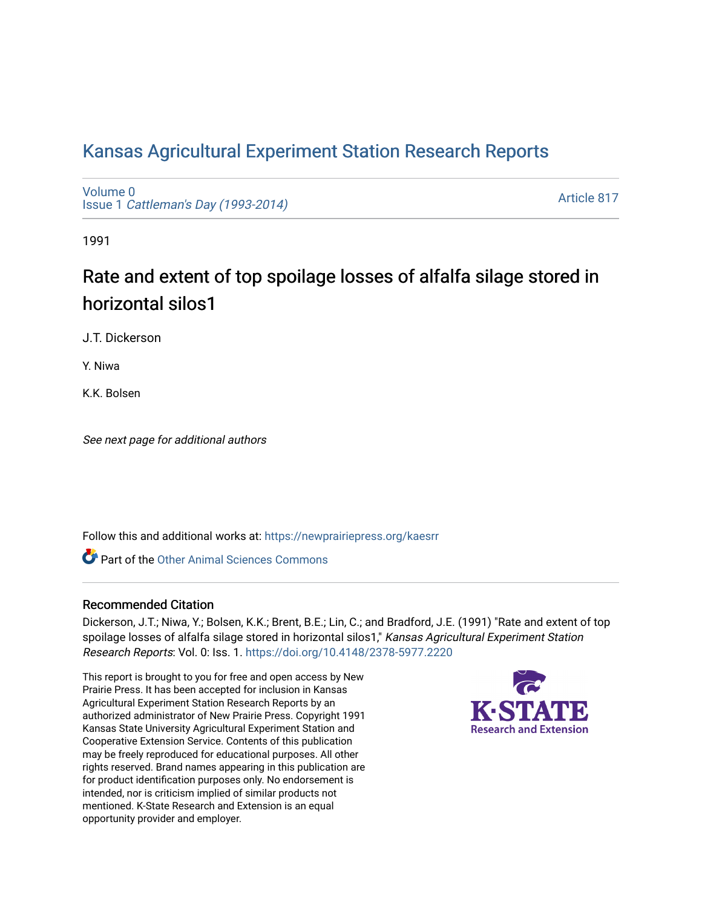# [Kansas Agricultural Experiment Station Research Reports](https://newprairiepress.org/kaesrr)

[Volume 0](https://newprairiepress.org/kaesrr/vol0) Issue 1 [Cattleman's Day \(1993-2014\)](https://newprairiepress.org/kaesrr/vol0/iss1) 

[Article 817](https://newprairiepress.org/kaesrr/vol0/iss1/817) 

1991

# Rate and extent of top spoilage losses of alfalfa silage stored in horizontal silos1

J.T. Dickerson

Y. Niwa

K.K. Bolsen

See next page for additional authors

Follow this and additional works at: [https://newprairiepress.org/kaesrr](https://newprairiepress.org/kaesrr?utm_source=newprairiepress.org%2Fkaesrr%2Fvol0%2Fiss1%2F817&utm_medium=PDF&utm_campaign=PDFCoverPages) 

**C** Part of the [Other Animal Sciences Commons](http://network.bepress.com/hgg/discipline/82?utm_source=newprairiepress.org%2Fkaesrr%2Fvol0%2Fiss1%2F817&utm_medium=PDF&utm_campaign=PDFCoverPages)

## Recommended Citation

Dickerson, J.T.; Niwa, Y.; Bolsen, K.K.; Brent, B.E.; Lin, C.; and Bradford, J.E. (1991) "Rate and extent of top spoilage losses of alfalfa silage stored in horizontal silos1," Kansas Agricultural Experiment Station Research Reports: Vol. 0: Iss. 1.<https://doi.org/10.4148/2378-5977.2220>

This report is brought to you for free and open access by New Prairie Press. It has been accepted for inclusion in Kansas Agricultural Experiment Station Research Reports by an authorized administrator of New Prairie Press. Copyright 1991 Kansas State University Agricultural Experiment Station and Cooperative Extension Service. Contents of this publication may be freely reproduced for educational purposes. All other rights reserved. Brand names appearing in this publication are for product identification purposes only. No endorsement is intended, nor is criticism implied of similar products not mentioned. K-State Research and Extension is an equal opportunity provider and employer.

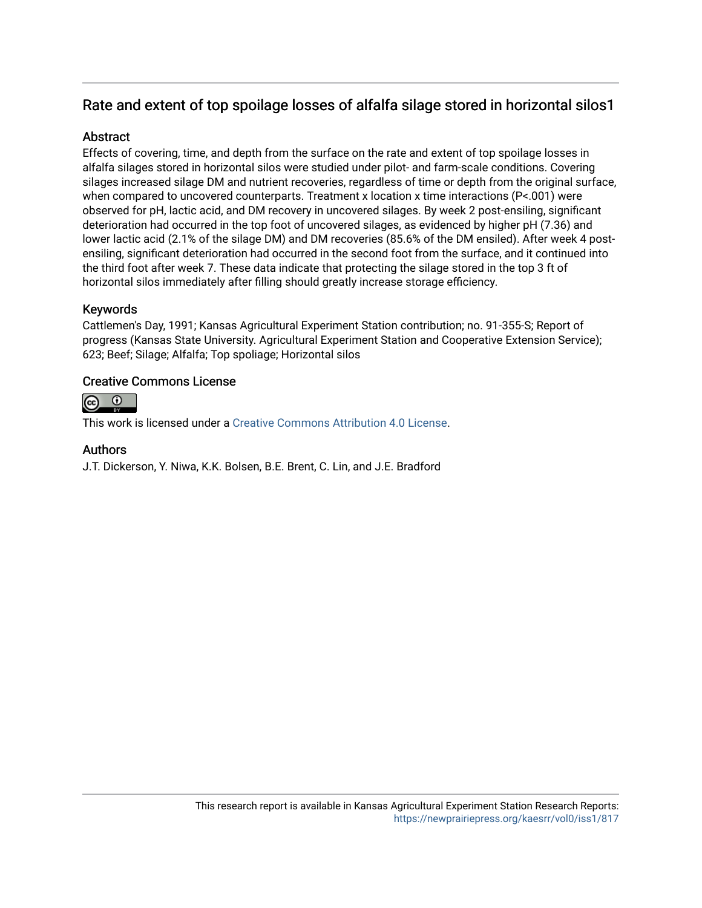## Rate and extent of top spoilage losses of alfalfa silage stored in horizontal silos1

## **Abstract**

Effects of covering, time, and depth from the surface on the rate and extent of top spoilage losses in alfalfa silages stored in horizontal silos were studied under pilot- and farm-scale conditions. Covering silages increased silage DM and nutrient recoveries, regardless of time or depth from the original surface, when compared to uncovered counterparts. Treatment x location x time interactions (P<.001) were observed for pH, lactic acid, and DM recovery in uncovered silages. By week 2 post-ensiling, significant deterioration had occurred in the top foot of uncovered silages, as evidenced by higher pH (7.36) and lower lactic acid (2.1% of the silage DM) and DM recoveries (85.6% of the DM ensiled). After week 4 postensiling, significant deterioration had occurred in the second foot from the surface, and it continued into the third foot after week 7. These data indicate that protecting the silage stored in the top 3 ft of horizontal silos immediately after filling should greatly increase storage efficiency.

## Keywords

Cattlemen's Day, 1991; Kansas Agricultural Experiment Station contribution; no. 91-355-S; Report of progress (Kansas State University. Agricultural Experiment Station and Cooperative Extension Service); 623; Beef; Silage; Alfalfa; Top spoliage; Horizontal silos

## Creative Commons License



This work is licensed under a [Creative Commons Attribution 4.0 License](https://creativecommons.org/licenses/by/4.0/).

## Authors

J.T. Dickerson, Y. Niwa, K.K. Bolsen, B.E. Brent, C. Lin, and J.E. Bradford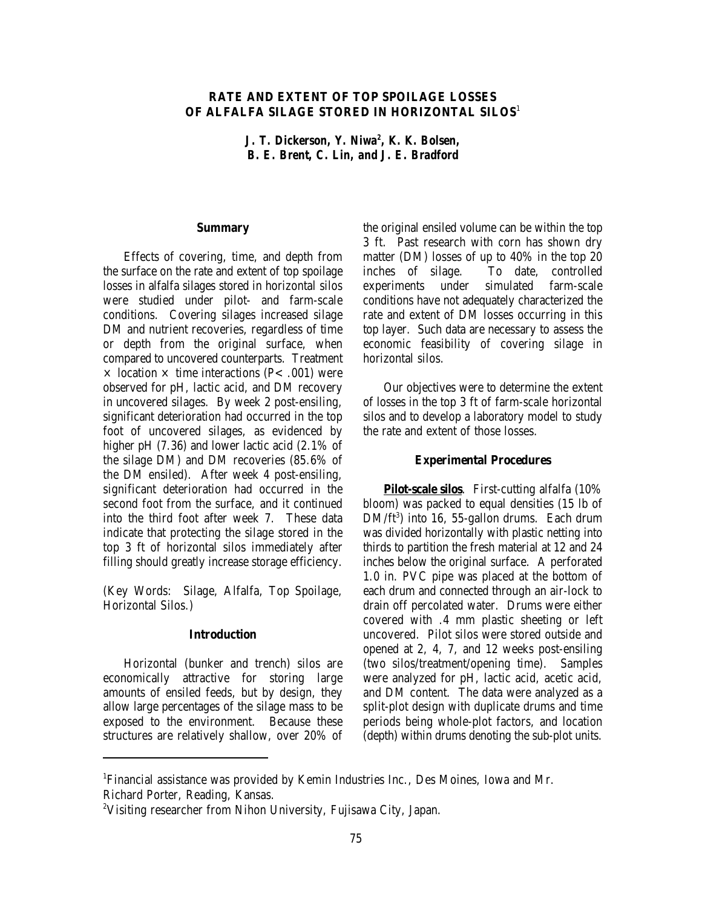### **RATE AND EXTENT OF TOP SPOILAGE LOSSES OF ALFALFA SILAGE STORED IN HORIZONTAL SILOS**<sup>1</sup>

*J. T. Dickerson, Y. Niwa<sup>2</sup>, K. K. Bolsen, B. E. Brent, C. Lin, and J. E. Bradford*

#### **Summary**

Effects of covering, time, and depth from the surface on the rate and extent of top spoilage losses in alfalfa silages stored in horizontal silos were studied under pilot- and farm-scale conditions. Covering silages increased silage DM and nutrient recoveries, regardless of time or depth from the original surface, when compared to uncovered counterparts. Treatment  $\times$  location  $\times$  time interactions (P< .001) were observed for pH, lactic acid, and DM recovery in uncovered silages. By week 2 post-ensiling, significant deterioration had occurred in the top foot of uncovered silages, as evidenced by higher pH (7.36) and lower lactic acid (2.1% of the silage DM) and DM recoveries (85.6% of the DM ensiled). After week 4 post-ensiling, significant deterioration had occurred in the second foot from the surface, and it continued into the third foot after week 7. These data indicate that protecting the silage stored in the top 3 ft of horizontal silos immediately after filling should greatly increase storage efficiency.

(Key Words: Silage, Alfalfa, Top Spoilage, Horizontal Silos.)

#### **Introduction**

Horizontal (bunker and trench) silos are economically attractive for storing large amounts of ensiled feeds, but by design, they allow large percentages of the silage mass to be exposed to the environment. Because these structures are relatively shallow, over 20% of the original ensiled volume can be within the top 3 ft. Past research with corn has shown dry matter (DM) losses of up to 40% in the top 20 inches of silage. To date, controlled experiments under simulated farm-scale conditions have not adequately characterized the rate and extent of DM losses occurring in this top layer. Such data are necessary to assess the economic feasibility of covering silage in horizontal silos.

Our objectives were to determine the extent of losses in the top 3 ft of farm-scale horizontal silos and to develop a laboratory model to study the rate and extent of those losses.

#### **Experimental Procedures**

**Pilot-scale silos**. First-cutting alfalfa (10% bloom) was packed to equal densities (15 lb of  $DM/ft^3$  into 16, 55-gallon drums. Each drum was divided horizontally with plastic netting into thirds to partition the fresh material at 12 and 24 inches below the original surface. A perforated 1.0 in. PVC pipe was placed at the bottom of each drum and connected through an air-lock to drain off percolated water. Drums were either covered with .4 mm plastic sheeting or left uncovered. Pilot silos were stored outside and opened at 2, 4, 7, and 12 weeks post-ensiling (two silos/treatment/opening time). Samples were analyzed for pH, lactic acid, acetic acid, and DM content. The data were analyzed as a split-plot design with duplicate drums and time periods being whole-plot factors, and location (depth) within drums denoting the sub-plot units.

Financial assistance was provided by Kemin Industries Inc., Des Moines, Iowa and Mr. <sup>1</sup> Richard Porter, Reading, Kansas.

<sup>&</sup>lt;sup>2</sup>Visiting researcher from Nihon University, Fujisawa City, Japan.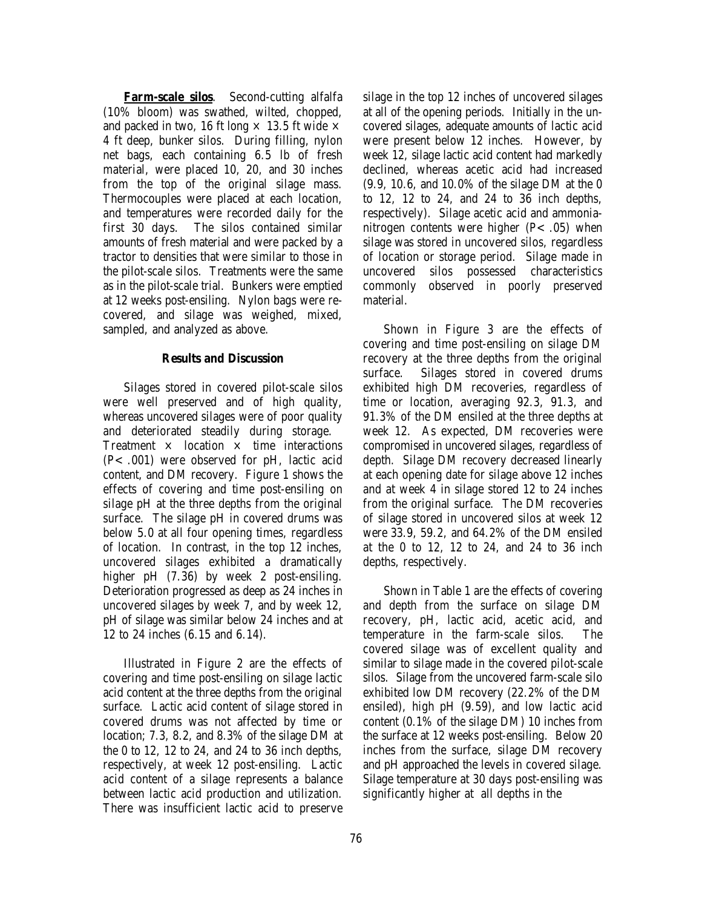**Farm-scale silos**. Second-cutting alfalfa (10% bloom) was swathed, wilted, chopped, and packed in two, 16 ft long  $\times$  13.5 ft wide  $\times$ 4 ft deep, bunker silos. During filling, nylon net bags, each containing 6.5 lb of fresh material, were placed 10, 20, and 30 inches from the top of the original silage mass. Thermocouples were placed at each location, and temperatures were recorded daily for the first 30 days. The silos contained similar amounts of fresh material and were packed by a tractor to densities that were similar to those in the pilot-scale silos. Treatments were the same as in the pilot-scale trial. Bunkers were emptied at 12 weeks post-ensiling. Nylon bags were recovered, and silage was weighed, mixed, sampled, and analyzed as above.

#### **Results and Discussion**

Silages stored in covered pilot-scale silos were well preserved and of high quality, whereas uncovered silages were of poor quality and deteriorated steadily during storage. Treatment  $\times$  location  $\times$  time interactions (P<.001) were observed for pH, lactic acid content, and DM recovery. Figure 1 shows the effects of covering and time post-ensiling on silage pH at the three depths from the original surface. The silage pH in covered drums was below 5.0 at all four opening times, regardless of location. In contrast, in the top 12 inches, uncovered silages exhibited a dramatically higher pH  $(7.36)$  by week 2 post-ensiling. Deterioration progressed as deep as 24 inches in uncovered silages by week 7, and by week 12, pH of silage was similar below 24 inches and at 12 to 24 inches (6.15 and 6.14).

Illustrated in Figure 2 are the effects of covering and time post-ensiling on silage lactic acid content at the three depths from the original surface. Lactic acid content of silage stored in covered drums was not affected by time or location; 7.3, 8.2, and 8.3% of the silage DM at the 0 to 12, 12 to 24, and 24 to 36 inch depths, respectively, at week 12 post-ensiling. Lactic acid content of a silage represents a balance between lactic acid production and utilization. There was insufficient lactic acid to preserve silage in the top 12 inches of uncovered silages at all of the opening periods. Initially in the uncovered silages, adequate amounts of lactic acid were present below 12 inches. However, by week 12, silage lactic acid content had markedly declined, whereas acetic acid had increased (9.9, 10.6, and 10.0% of the silage DM at the 0 to 12, 12 to 24, and 24 to 36 inch depths, respectively). Silage acetic acid and ammonianitrogen contents were higher  $(P<.05)$  when silage was stored in uncovered silos, regardless of location or storage period. Silage made in uncovered silos possessed characteristics commonly observed in poorly preserved material.

Shown in Figure 3 are the effects of covering and time post-ensiling on silage DM recovery at the three depths from the original surface. Silages stored in covered drums exhibited high DM recoveries, regardless of time or location, averaging 92.3, 91.3, and 91.3% of the DM ensiled at the three depths at week 12. As expected, DM recoveries were compromised in uncovered silages, regardless of depth. Silage DM recovery decreased linearly at each opening date for silage above 12 inches and at week 4 in silage stored 12 to 24 inches from the original surface. The DM recoveries of silage stored in uncovered silos at week 12 were 33.9, 59.2, and 64.2% of the DM ensiled at the 0 to 12, 12 to 24, and 24 to 36 inch depths, respectively.

Shown in Table 1 are the effects of covering and depth from the surface on silage DM recovery, pH, lactic acid, acetic acid, and temperature in the farm-scale silos. The covered silage was of excellent quality and similar to silage made in the covered pilot-scale silos. Silage from the uncovered farm-scale silo exhibited low DM recovery (22.2% of the DM ensiled), high pH (9.59), and low lactic acid content (0.1% of the silage DM) 10 inches from the surface at 12 weeks post-ensiling. Below 20 inches from the surface, silage DM recovery and pH approached the levels in covered silage. Silage temperature at 30 days post-ensiling was significantly higher at all depths in the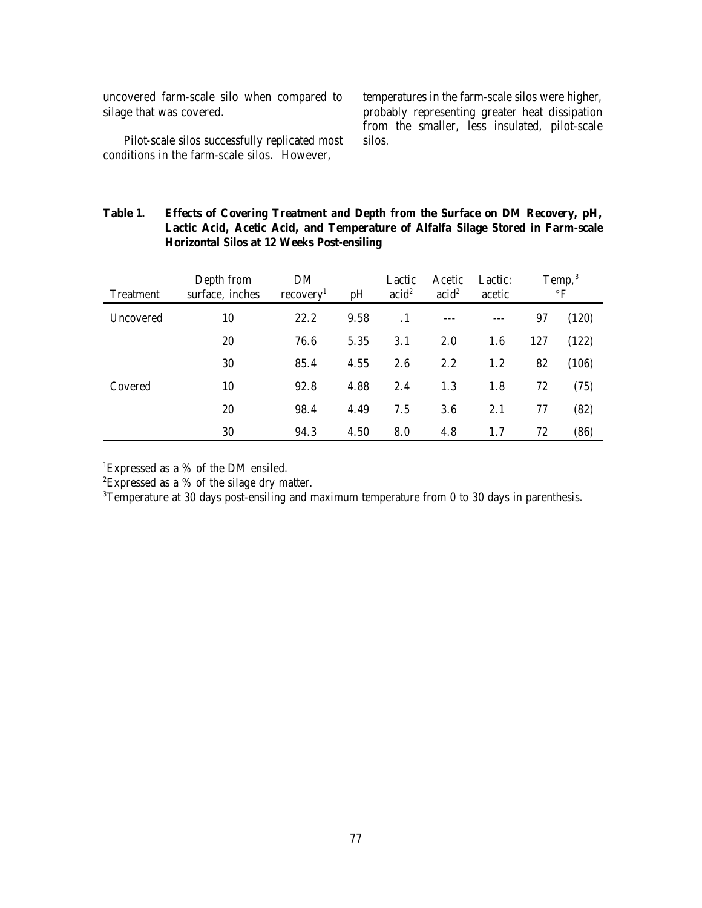uncovered farm-scale silo when compared to silage that was covered.

Pilot-scale silos successfully replicated most conditions in the farm-scale silos. However,

temperatures in the farm-scale silos were higher, probably representing greater heat dissipation from the smaller, less insulated, pilot-scale silos.

## **Table 1. Effects of Covering Treatment and Depth from the Surface on DM Recovery, pH, Lactic Acid, Acetic Acid, and Temperature of Alfalfa Silage Stored in Farm-scale Horizontal Silos at 12 Weeks Post-ensiling**

| <b>Treatment</b> | Depth from<br>surface, inches | DM<br>recovery <sup>1</sup> | pH   | Lactic<br>acid <sup>2</sup> | Acetic<br>acid <sup>2</sup> | Lactic:<br>acetic | Temp, $3$<br>$\mathbf{P}$ |       |
|------------------|-------------------------------|-----------------------------|------|-----------------------------|-----------------------------|-------------------|---------------------------|-------|
| Uncovered        | 10                            | 22.2                        | 9.58 | . 1                         |                             |                   | 97                        | (120) |
| Covered          | 20                            | 76.6                        | 5.35 | 3.1                         | 2.0                         | 1.6               | 127                       | (122) |
|                  | 30                            | 85.4                        | 4.55 | 2.6                         | 2.2                         | 1.2               | 82                        | (106) |
|                  | 10                            | 92.8                        | 4.88 | 2.4                         | 1.3                         | 1.8               | 72                        | (75)  |
|                  | 20                            | 98.4                        | 4.49 | 7.5                         | 3.6                         | 2.1               | 77                        | (82)  |
|                  | 30                            | 94.3                        | 4.50 | 8.0                         | 4.8                         | 1.7               | 72                        | (86)  |

<sup>1</sup>Expressed as a  $%$  of the DM ensiled.

 ${}^{2}$ Expressed as a % of the silage dry matter.

<sup>3</sup>Temperature at 30 days post-ensiling and maximum temperature from 0 to 30 days in parenthesis.